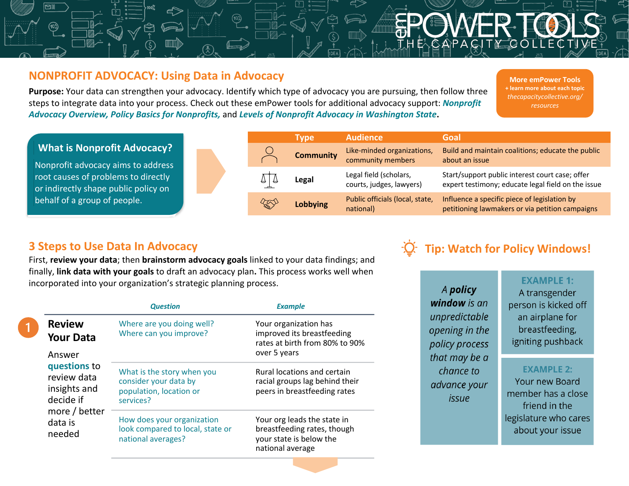# **NONPROFIT ADVOCACY: Using Data in Advocacy**

**Purpose:** Your data can strengthen your advocacy. Identify which type of advocacy you are pursuing, then follow three steps to integrate data into your process. Check out these emPower tools for additional advocacy support: *Nonprofit Advocacy Overview, Policy Basics for Nonprofits,* and *Levels of Nonprofit Advocacy in Washington State***.**

**More emPower Tools + learn more about each topic** *thecapacitycollective.org/ resources*

### **Type Audience Goal What is Nonprofit Advocacy? Community** Like-minded organizations, Build and maintain coalitions; educate the public community members about an issue Nonprofit advocacy aims to address Legal Legal field (scholars, Start/support public interest court case; offer root causes of problems to directly courts, judges, lawyers) expert testimony; educate legal field on the issue or indirectly shape public policy on behalf of a group of people. **Lobbying** Public officials (local, state, Influence a specific piece of legislation by  $\mathbb{Z}$ national) petitioning lawmakers or via petition campaigns

# **3 Steps to Use Data In Advocacy**

First, **review your data**; then **brainstorm advocacy goals** linked to your data findings; and finally, **link data with your goals** to draft an advocacy plan**.** This process works well when incorporated into your organization's strategic planning process.

|                                                                                                          | <b>Question</b>                                                                             | <b>Example</b>                                                                                            |  |
|----------------------------------------------------------------------------------------------------------|---------------------------------------------------------------------------------------------|-----------------------------------------------------------------------------------------------------------|--|
| <b>Review</b><br><b>Your Data</b>                                                                        | Where are you doing well?<br>Where can you improve?                                         | Your organization has<br>improved its breastfeeding<br>rates at birth from 80% to 90%                     |  |
| Answer<br>questions to<br>review data<br>insights and<br>decide if<br>more / better<br>data is<br>needed |                                                                                             | over 5 years                                                                                              |  |
|                                                                                                          | What is the story when you<br>consider your data by<br>population, location or<br>services? | Rural locations and certain<br>racial groups lag behind their<br>peers in breastfeeding rates             |  |
|                                                                                                          | How does your organization<br>look compared to local, state or<br>national averages?        | Your org leads the state in<br>breastfeeding rates, though<br>your state is below the<br>national average |  |



A policy window is an unpredictable opening in the policy process that may be a chance to advance your issue

## **EXAMPLE 1:**

A transgender person is kicked off an airplane for breastfeeding, igniting pushback

### **EXAMPLE 2:**

**Your new Board** member has a close friend in the legislature who cares about your issue